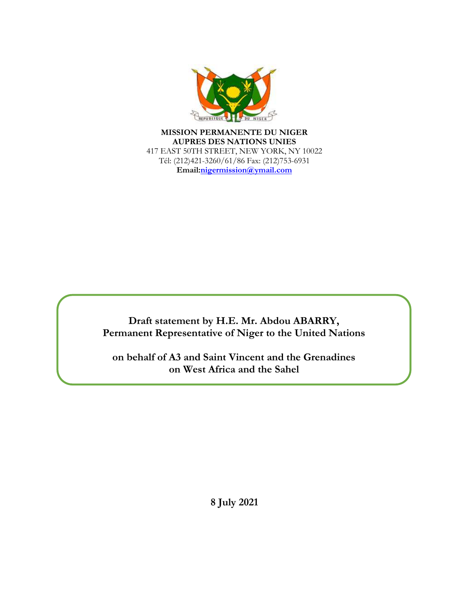

**MISSION PERMANENTE DU NIGER AUPRES DES NATIONS UNIES** 417 EAST 50TH STREET, NEW YORK, NY 10022 Tél: (212)421-3260/61/86 Fax: (212)753-6931 **Email:nigermission@ymail.com**

**Draft statement by H.E. Mr. Abdou ABARRY, Permanent Representative of Niger to the United Nations**

**on behalf of A3 and Saint Vincent and the Grenadines on West Africa and the Sahel**

**8 July 2021**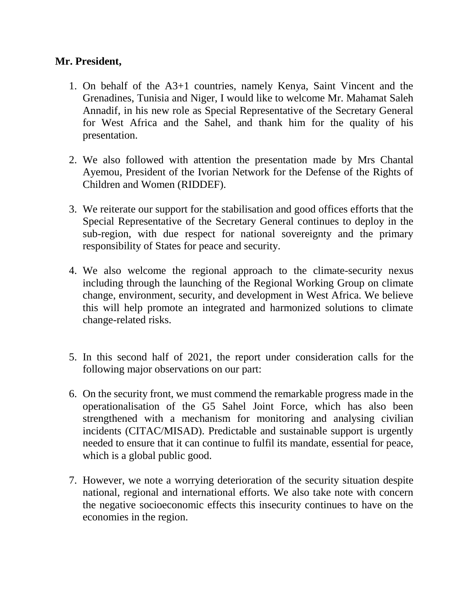## **Mr. President,**

- 1. On behalf of the A3+1 countries, namely Kenya, Saint Vincent and the Grenadines, Tunisia and Niger, I would like to welcome Mr. Mahamat Saleh Annadif, in his new role as Special Representative of the Secretary General for West Africa and the Sahel, and thank him for the quality of his presentation.
- 2. We also followed with attention the presentation made by Mrs Chantal Ayemou, President of the Ivorian Network for the Defense of the Rights of Children and Women (RIDDEF).
- 3. We reiterate our support for the stabilisation and good offices efforts that the Special Representative of the Secretary General continues to deploy in the sub-region, with due respect for national sovereignty and the primary responsibility of States for peace and security.
- 4. We also welcome the regional approach to the climate-security nexus including through the launching of the Regional Working Group on climate change, environment, security, and development in West Africa. We believe this will help promote an integrated and harmonized solutions to climate change-related risks.
- 5. In this second half of 2021, the report under consideration calls for the following major observations on our part:
- 6. On the security front, we must commend the remarkable progress made in the operationalisation of the G5 Sahel Joint Force, which has also been strengthened with a mechanism for monitoring and analysing civilian incidents (CITAC/MISAD). Predictable and sustainable support is urgently needed to ensure that it can continue to fulfil its mandate, essential for peace, which is a global public good.
- 7. However, we note a worrying deterioration of the security situation despite national, regional and international efforts. We also take note with concern the negative socioeconomic effects this insecurity continues to have on the economies in the region.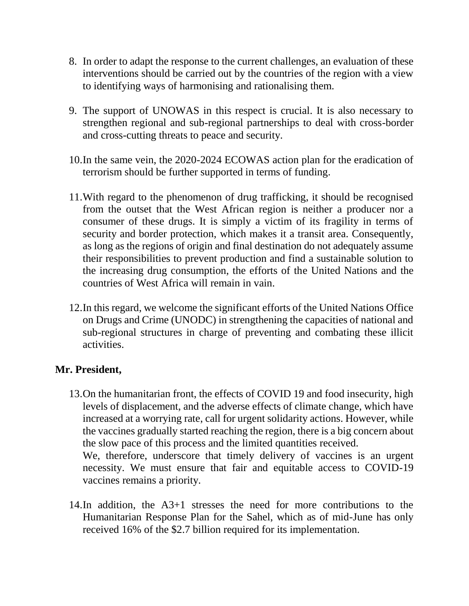- 8. In order to adapt the response to the current challenges, an evaluation of these interventions should be carried out by the countries of the region with a view to identifying ways of harmonising and rationalising them.
- 9. The support of UNOWAS in this respect is crucial. It is also necessary to strengthen regional and sub-regional partnerships to deal with cross-border and cross-cutting threats to peace and security.
- 10.In the same vein, the 2020-2024 ECOWAS action plan for the eradication of terrorism should be further supported in terms of funding.
- 11.With regard to the phenomenon of drug trafficking, it should be recognised from the outset that the West African region is neither a producer nor a consumer of these drugs. It is simply a victim of its fragility in terms of security and border protection, which makes it a transit area. Consequently, as long as the regions of origin and final destination do not adequately assume their responsibilities to prevent production and find a sustainable solution to the increasing drug consumption, the efforts of the United Nations and the countries of West Africa will remain in vain.
- 12.In this regard, we welcome the significant efforts of the United Nations Office on Drugs and Crime (UNODC) in strengthening the capacities of national and sub-regional structures in charge of preventing and combating these illicit activities.

## **Mr. President,**

- 13.On the humanitarian front, the effects of COVID 19 and food insecurity, high levels of displacement, and the adverse effects of climate change, which have increased at a worrying rate, call for urgent solidarity actions. However, while the vaccines gradually started reaching the region, there is a big concern about the slow pace of this process and the limited quantities received. We, therefore, underscore that timely delivery of vaccines is an urgent necessity. We must ensure that fair and equitable access to COVID-19
	- vaccines remains a priority.
- 14.In addition, the A3+1 stresses the need for more contributions to the Humanitarian Response Plan for the Sahel, which as of mid-June has only received 16% of the \$2.7 billion required for its implementation.